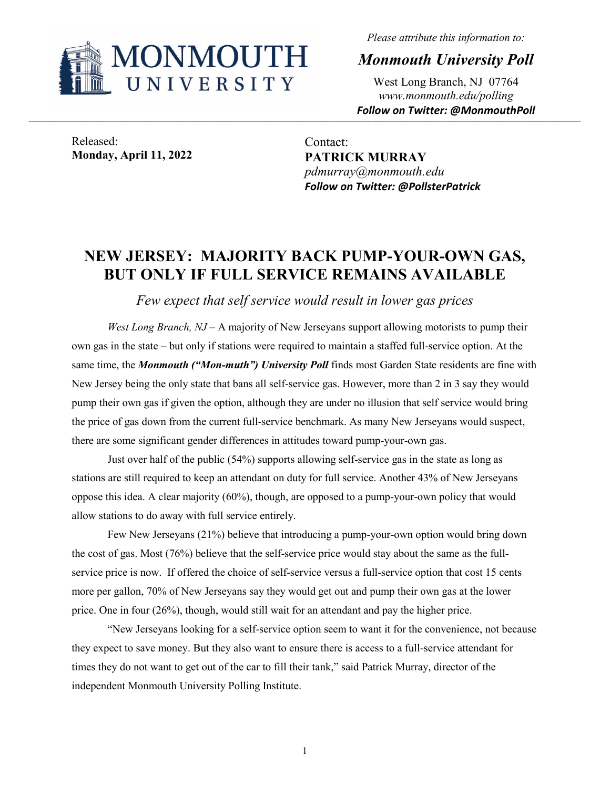

*Please attribute this information to:*

*Monmouth University Poll*

West Long Branch, NJ 07764 *www.monmouth.edu/polling Follow on Twitter: @MonmouthPoll*

Released: **Monday, April 11, 2022**

Contact: **PATRICK MURRAY** *pdmurray@monmouth.edu Follow on Twitter: @PollsterPatrick*

## **NEW JERSEY: MAJORITY BACK PUMP-YOUR-OWN GAS, BUT ONLY IF FULL SERVICE REMAINS AVAILABLE**

*Few expect that self service would result in lower gas prices*

*West Long Branch, NJ* – A majority of New Jerseyans support allowing motorists to pump their own gas in the state – but only if stations were required to maintain a staffed full-service option. At the same time, the *Monmouth ("Mon-muth") University Poll* finds most Garden State residents are fine with New Jersey being the only state that bans all self-service gas. However, more than 2 in 3 say they would pump their own gas if given the option, although they are under no illusion that self service would bring the price of gas down from the current full-service benchmark. As many New Jerseyans would suspect, there are some significant gender differences in attitudes toward pump-your-own gas.

Just over half of the public (54%) supports allowing self-service gas in the state as long as stations are still required to keep an attendant on duty for full service. Another 43% of New Jerseyans oppose this idea. A clear majority (60%), though, are opposed to a pump-your-own policy that would allow stations to do away with full service entirely.

Few New Jerseyans (21%) believe that introducing a pump-your-own option would bring down the cost of gas. Most (76%) believe that the self-service price would stay about the same as the fullservice price is now. If offered the choice of self-service versus a full-service option that cost 15 cents more per gallon, 70% of New Jerseyans say they would get out and pump their own gas at the lower price. One in four (26%), though, would still wait for an attendant and pay the higher price.

"New Jerseyans looking for a self-service option seem to want it for the convenience, not because they expect to save money. But they also want to ensure there is access to a full-service attendant for times they do not want to get out of the car to fill their tank," said Patrick Murray, director of the independent Monmouth University Polling Institute.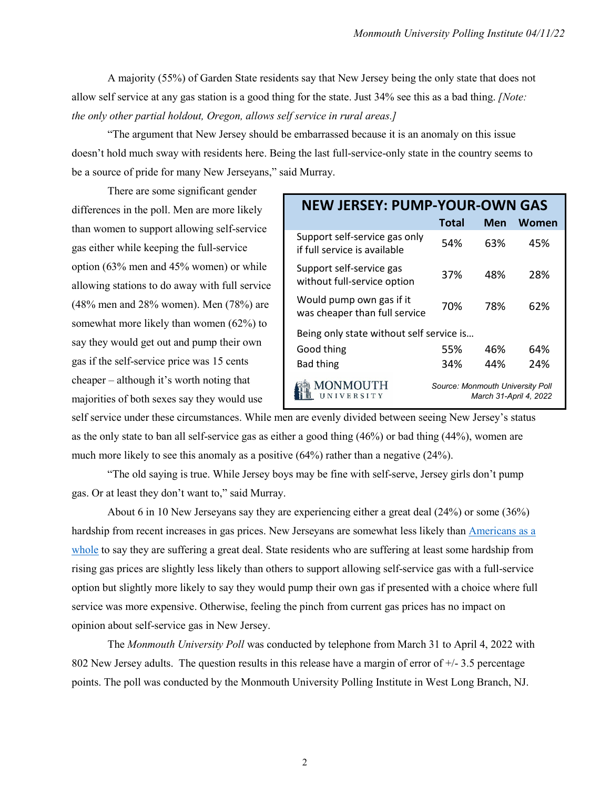A majority (55%) of Garden State residents say that New Jersey being the only state that does not allow self service at any gas station is a good thing for the state. Just 34% see this as a bad thing. *[Note: the only other partial holdout, Oregon, allows self service in rural areas.]*

"The argument that New Jersey should be embarrassed because it is an anomaly on this issue doesn't hold much sway with residents here. Being the last full-service-only state in the country seems to be a source of pride for many New Jerseyans," said Murray.

There are some significant gender differences in the poll. Men are more likely than women to support allowing self-service gas either while keeping the full-service option (63% men and 45% women) or while allowing stations to do away with full service (48% men and 28% women). Men (78%) are somewhat more likely than women (62%) to say they would get out and pump their own gas if the self-service price was 15 cents cheaper – although it's worth noting that majorities of both sexes say they would use

| <b>NEW JERSEY: PUMP-YOUR-OWN GAS</b>                          |                                         |     |                        |  |  |  |  |  |  |  |
|---------------------------------------------------------------|-----------------------------------------|-----|------------------------|--|--|--|--|--|--|--|
|                                                               | <b>Total</b>                            | Men | Women                  |  |  |  |  |  |  |  |
| Support self-service gas only<br>if full service is available | 54%                                     | 63% | 45%                    |  |  |  |  |  |  |  |
| Support self-service gas<br>without full-service option       | 37%                                     | 48% | 28%                    |  |  |  |  |  |  |  |
| Would pump own gas if it<br>was cheaper than full service     | 70%                                     | 78% | 62%                    |  |  |  |  |  |  |  |
| Being only state without self service is                      |                                         |     |                        |  |  |  |  |  |  |  |
| Good thing                                                    | 55%                                     | 46% | 64%                    |  |  |  |  |  |  |  |
| <b>Bad thing</b>                                              | 34%                                     | 44% | 24%                    |  |  |  |  |  |  |  |
| NIVERSITY                                                     | <b>Source: Monmouth University Poll</b> |     | March 31-April 4, 2022 |  |  |  |  |  |  |  |

self service under these circumstances. While men are evenly divided between seeing New Jersey's status as the only state to ban all self-service gas as either a good thing (46%) or bad thing (44%), women are much more likely to see this anomaly as a positive (64%) rather than a negative (24%).

"The old saying is true. While Jersey boys may be fine with self-serve, Jersey girls don't pump gas. Or at least they don't want to," said Murray.

About 6 in 10 New Jerseyans say they are experiencing either a great deal (24%) or some (36%) hardship from recent increases in gas prices. New Jerseyans are somewhat less likely than [Americans as a](https://www.monmouth.edu/polling-institute/reports/monmouthpoll_us_031722/#Question12)  [whole](https://www.monmouth.edu/polling-institute/reports/monmouthpoll_us_031722/#Question12) to say they are suffering a great deal. State residents who are suffering at least some hardship from rising gas prices are slightly less likely than others to support allowing self-service gas with a full-service option but slightly more likely to say they would pump their own gas if presented with a choice where full service was more expensive. Otherwise, feeling the pinch from current gas prices has no impact on opinion about self-service gas in New Jersey.

The *Monmouth University Poll* was conducted by telephone from March 31 to April 4, 2022 with 802 New Jersey adults. The question results in this release have a margin of error of  $+/-3.5$  percentage points. The poll was conducted by the Monmouth University Polling Institute in West Long Branch, NJ.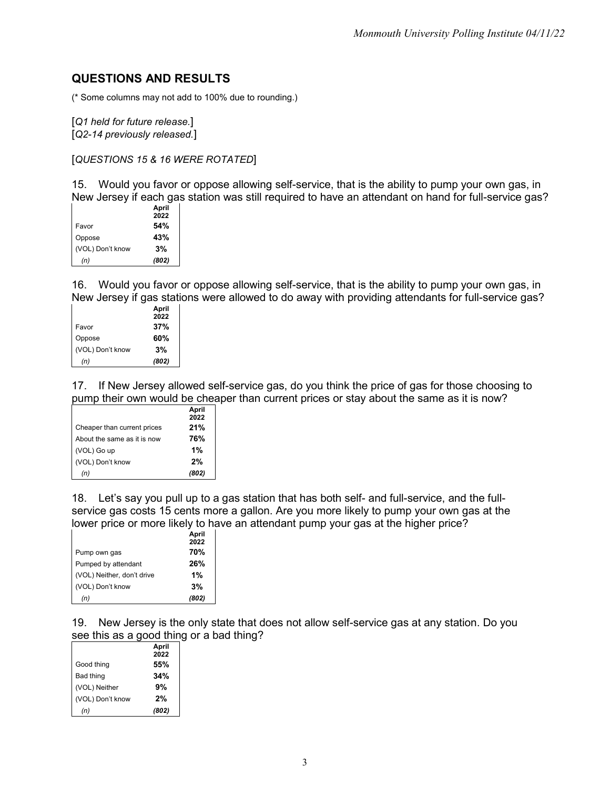## **QUESTIONS AND RESULTS**

(\* Some columns may not add to 100% due to rounding.)

[*Q1 held for future release.*]

[*Q2-14 previously released.*]

[*QUESTIONS 15 & 16 WERE ROTATED*]

15. Would you favor or oppose allowing self-service, that is the ability to pump your own gas, in New Jersey if each gas station was still required to have an attendant on hand for full-service gas?

|                  | April |
|------------------|-------|
|                  | 2022  |
| Favor            | 54%   |
| Oppose           | 43%   |
| (VOL) Don't know | 3%    |
| (n)              | (802) |

16. Would you favor or oppose allowing self-service, that is the ability to pump your own gas, in New Jersey if gas stations were allowed to do away with providing attendants for full-service gas?

|                  | April |
|------------------|-------|
|                  | 2022  |
| Favor            | 37%   |
| Oppose           | 60%   |
| (VOL) Don't know | 3%    |
| (n)              | (802) |

17. If New Jersey allowed self-service gas, do you think the price of gas for those choosing to pump their own would be cheaper than current prices or stay about the same as it is now?

|                             | April<br>2022 |
|-----------------------------|---------------|
| Cheaper than current prices | 21%           |
| About the same as it is now | 76%           |
| (VOL) Go up                 | 1%            |
| (VOL) Don't know            | 2%            |
| (n)                         | (802)         |

18. Let's say you pull up to a gas station that has both self- and full-service, and the fullservice gas costs 15 cents more a gallon. Are you more likely to pump your own gas at the lower price or more likely to have an attendant pump your gas at the higher price?

|                            | April |
|----------------------------|-------|
|                            | 2022  |
| Pump own gas               | 70%   |
| Pumped by attendant        | 26%   |
| (VOL) Neither, don't drive | 1%    |
| (VOL) Don't know           | 3%    |
| (n)                        | (802) |

19. New Jersey is the only state that does not allow self-service gas at any station. Do you see this as a good thing or a bad thing?

|                  | April |
|------------------|-------|
|                  | 2022  |
| Good thing       | 55%   |
| Bad thing        | 34%   |
| (VOL) Neither    | 9%    |
| (VOL) Don't know | 2%    |
| (n)              | (802) |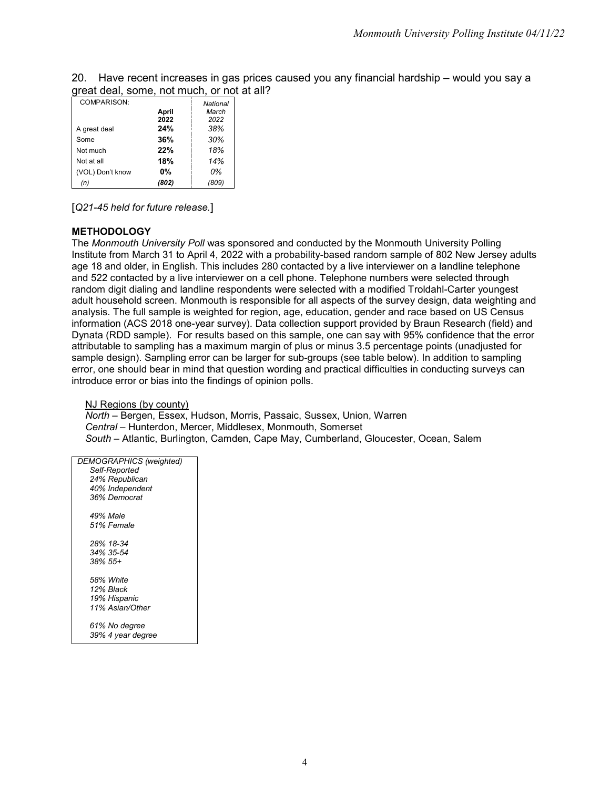20. Have recent increases in gas prices caused you any financial hardship – would you say a great deal, some, not much, or not at all?

| COMPARISON:      |       | National |
|------------------|-------|----------|
|                  | April | March    |
|                  | 2022  | 2022     |
| A great deal     | 24%   | 38%      |
| Some             | 36%   | 30%      |
| Not much         | 22%   | 18%      |
| Not at all       | 18%   | 14%      |
| (VOL) Don't know | 0%    | 0%       |
| (n)              | (802) | (809)    |

[*Q21-45 held for future release.*]

## **METHODOLOGY**

The *Monmouth University Poll* was sponsored and conducted by the Monmouth University Polling Institute from March 31 to April 4, 2022 with a probability-based random sample of 802 New Jersey adults age 18 and older, in English. This includes 280 contacted by a live interviewer on a landline telephone and 522 contacted by a live interviewer on a cell phone. Telephone numbers were selected through random digit dialing and landline respondents were selected with a modified Troldahl-Carter youngest adult household screen. Monmouth is responsible for all aspects of the survey design, data weighting and analysis. The full sample is weighted for region, age, education, gender and race based on US Census information (ACS 2018 one-year survey). Data collection support provided by Braun Research (field) and Dynata (RDD sample). For results based on this sample, one can say with 95% confidence that the error attributable to sampling has a maximum margin of plus or minus 3.5 percentage points (unadjusted for sample design). Sampling error can be larger for sub-groups (see table below). In addition to sampling error, one should bear in mind that question wording and practical difficulties in conducting surveys can introduce error or bias into the findings of opinion polls.

## NJ Regions (by county)

*North* – Bergen, Essex, Hudson, Morris, Passaic, Sussex, Union, Warren *Central* – Hunterdon, Mercer, Middlesex, Monmouth, Somerset *South* – Atlantic, Burlington, Camden, Cape May, Cumberland, Gloucester, Ocean, Salem

| DEMOGRAPHICS (weighted) |
|-------------------------|
| Self-Reported           |
| 24% Republican          |
| 40% Independent         |
| 36% Democrat            |
|                         |
| 49% Male                |
| 51% Female              |
|                         |
| 28% 18-34               |
| 34% 35-54               |
| 38% 55+                 |
| 58% White               |
| 12% Black               |
| 19% Hispanic            |
| 11% Asian/Other         |
|                         |
| 61% No degree           |
| 39% 4 year degree       |
|                         |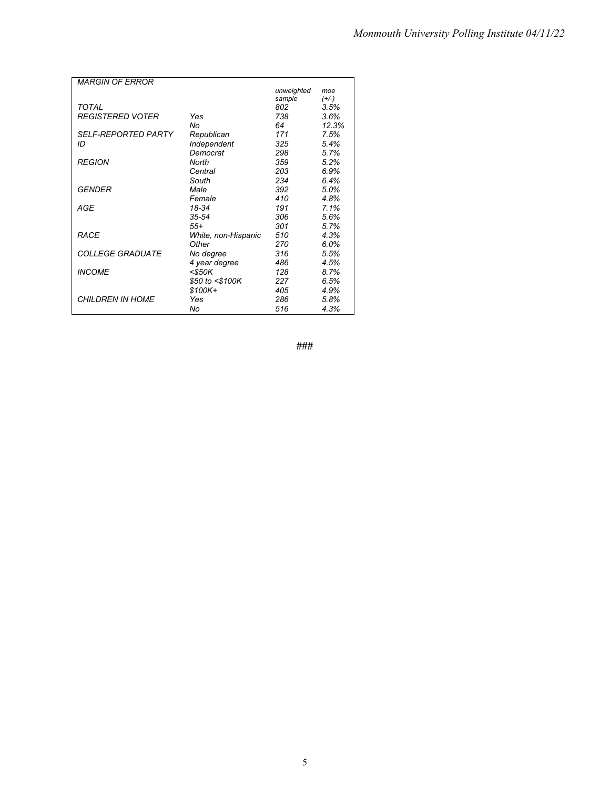| unweighted<br>moe<br>sample<br>$(+/-)$<br>TOTAL<br>802<br>3.5%<br><b>REGISTERED VOTER</b><br>738<br>Yes<br>3.6%<br>No<br>64<br>12.3%<br><i><b>SELF-REPORTED PARTY</b></i><br>171<br>7.5%<br>Republican<br>Independent<br>ID<br>325<br>5.4%<br>Democrat<br>298<br>5.7%<br><b>REGION</b><br>North<br>359<br>5.2%<br>203<br>Central<br>6.9%<br>234<br>6.4%<br>South<br>GFNDFR<br>392<br>Male<br>5.0%<br>Female<br>410<br>4.8% |
|----------------------------------------------------------------------------------------------------------------------------------------------------------------------------------------------------------------------------------------------------------------------------------------------------------------------------------------------------------------------------------------------------------------------------|
|                                                                                                                                                                                                                                                                                                                                                                                                                            |
|                                                                                                                                                                                                                                                                                                                                                                                                                            |
|                                                                                                                                                                                                                                                                                                                                                                                                                            |
|                                                                                                                                                                                                                                                                                                                                                                                                                            |
|                                                                                                                                                                                                                                                                                                                                                                                                                            |
|                                                                                                                                                                                                                                                                                                                                                                                                                            |
|                                                                                                                                                                                                                                                                                                                                                                                                                            |
|                                                                                                                                                                                                                                                                                                                                                                                                                            |
|                                                                                                                                                                                                                                                                                                                                                                                                                            |
|                                                                                                                                                                                                                                                                                                                                                                                                                            |
|                                                                                                                                                                                                                                                                                                                                                                                                                            |
|                                                                                                                                                                                                                                                                                                                                                                                                                            |
|                                                                                                                                                                                                                                                                                                                                                                                                                            |
| AGE<br>191<br>7.1%<br>18-34                                                                                                                                                                                                                                                                                                                                                                                                |
| 306<br>$35 - 54$<br>5.6%                                                                                                                                                                                                                                                                                                                                                                                                   |
| $55+$<br>301<br>5.7%                                                                                                                                                                                                                                                                                                                                                                                                       |
| RACE<br>510<br>White, non-Hispanic<br>4.3%                                                                                                                                                                                                                                                                                                                                                                                 |
| Other<br>270<br>6.0%                                                                                                                                                                                                                                                                                                                                                                                                       |
| <i>COLLEGE GRADUATE</i><br>No degree<br>316<br>5.5%                                                                                                                                                                                                                                                                                                                                                                        |
| 4 year degree<br>486<br>4.5%                                                                                                                                                                                                                                                                                                                                                                                               |
| <b>INCOME</b><br>$<$ \$50K<br>128<br>8.7%                                                                                                                                                                                                                                                                                                                                                                                  |
| \$50 to <\$100K<br>227<br>6.5%                                                                                                                                                                                                                                                                                                                                                                                             |
| 405<br>\$100K+<br>4.9%                                                                                                                                                                                                                                                                                                                                                                                                     |
| <b>CHILDREN IN HOME</b><br>286<br>5.8%<br>Yes                                                                                                                                                                                                                                                                                                                                                                              |
| 516<br>4.3%<br>No                                                                                                                                                                                                                                                                                                                                                                                                          |

**###**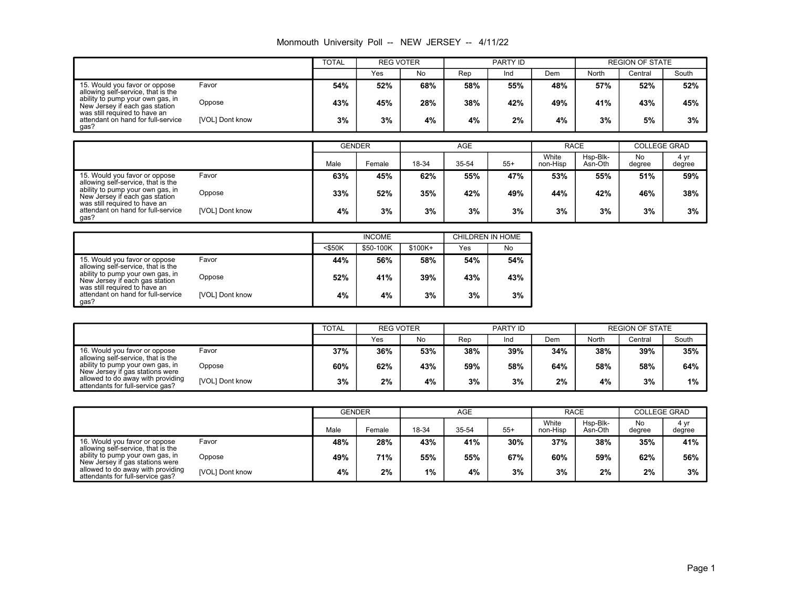|                                                                                                 |        | INDITIONAL DIRVOISILY FOR $-$ INLIVE SLIVOLT $ \frac{1}{2}$ FIZZ |                  |     |     |          |     |       |                        |       |
|-------------------------------------------------------------------------------------------------|--------|------------------------------------------------------------------|------------------|-----|-----|----------|-----|-------|------------------------|-------|
|                                                                                                 |        | <b>TOTAL</b>                                                     | <b>REG VOTER</b> |     |     | PARTY ID |     |       | <b>REGION OF STATE</b> |       |
|                                                                                                 |        |                                                                  | Yes              | No  | Rep | Ind      | Dem | North | Central                | South |
| 15. Would you favor or oppose<br>allowing self-service, that is the                             | Favor  | 54%                                                              | 52%              | 68% | 58% | 55%      | 48% | 57%   | 52%                    | 52%   |
| ability to pump your own gas, in<br>New Jersey if each gas station                              | Oppose | 43%                                                              | 45%              | 28% | 38% | 42%      | 49% | 41%   | 43%                    | 45%   |
| was still required to have an<br>attendant on hand for full-service_<br>[VOL] Dont know<br>gas? | 3%     | 3%                                                               | 4%               | 4%  | 2%  | 4%       | 3%  | 5%    | 3%                     |       |

| Monmouth University Poll -- NEW JERSEY -- 4/11/22 |  |  |  |  |  |  |  |
|---------------------------------------------------|--|--|--|--|--|--|--|
|---------------------------------------------------|--|--|--|--|--|--|--|

|                                                                                                                                                                                                                          | <b>GENDER</b>   |      | <b>AGE</b> |       |       | <b>RACE</b> |                   | <b>COLLEGE GRAD</b> |              |                |
|--------------------------------------------------------------------------------------------------------------------------------------------------------------------------------------------------------------------------|-----------------|------|------------|-------|-------|-------------|-------------------|---------------------|--------------|----------------|
|                                                                                                                                                                                                                          |                 | Male | Female     | 18-34 | 35-54 | $55+$       | White<br>non-Hisp | Hsp-Blk-<br>Asn-Oth | No<br>degree | 4 yr<br>degree |
| 15. Would you favor or oppose<br>allowing self-service, that is the<br>ability to pump your own gas, in<br>New Jersey if each gas station<br>was still required to have an<br>attendant on hand for full-service<br>gas? | Favor           | 63%  | 45%        | 62%   | 55%   | 47%         | 53%               | 55%                 | 51%          | 59%            |
|                                                                                                                                                                                                                          | Oppose          | 33%  | 52%        | 35%   | 42%   | 49%         | 44%               | 42%                 | 46%          | 38%            |
|                                                                                                                                                                                                                          | [VOL] Dont know | 4%   | 3%         | 3%    | 3%    | 3%          | 3%                | 3%                  | 3%           | 3%             |

|                                                                                                     |                 |           | <b>INCOME</b> |          | CHILDREN IN HOME |     |  |  |
|-----------------------------------------------------------------------------------------------------|-----------------|-----------|---------------|----------|------------------|-----|--|--|
|                                                                                                     |                 | $<$ \$50K | \$50-100K     | $$100K+$ | Yes              | No  |  |  |
| 15. Would you favor or oppose<br>allowing self-service, that is the                                 | Favor           | 44%       | 56%           | 58%      | 54%              | 54% |  |  |
| ability to pump your own gas, in<br>New Jersey if each gas station<br>was still required to have an | Oppose          | 52%       | 41%           | 39%      | 43%              | 43% |  |  |
| attendant on hand for full-service<br>gas?                                                          | [VOL] Dont know | 4%        | 4%            | 3%       | 3%               | 3%  |  |  |

|                                                                       |                 |     | TOTAL |     | <b>REG VOTER</b> |     | PARTY ID |       | <b>REGION OF STATE</b> |       |  |
|-----------------------------------------------------------------------|-----------------|-----|-------|-----|------------------|-----|----------|-------|------------------------|-------|--|
|                                                                       |                 |     | Yes   | No  | Rep              | Ind | Dem      | North | Central                | South |  |
| 16. Would you favor or oppose<br>allowing self-service, that is the   | Favor           | 37% | 36%   | 53% | 38%              | 39% | 34%      | 38%   | 39%                    | 35%   |  |
| ability to pump your own gas, in<br>New Jersey if gas stations were   | Oppose          | 60% | 62%   | 43% | 59%              | 58% | 64%      | 58%   | 58%                    | 64%   |  |
| allowed to do away with providing<br>attendants for full-service gas? | [VOL] Dont know | 3%  | 2%    | 4%  | 3%               | 3%  | 2%       | 4%    | 3%                     | 1%    |  |

|                                                                       |                 |      | <b>GENDER</b> |       | <b>AGE</b> |       |                   | <b>RACE</b>         |              | <b>COLLEGE GRAD</b> |
|-----------------------------------------------------------------------|-----------------|------|---------------|-------|------------|-------|-------------------|---------------------|--------------|---------------------|
|                                                                       |                 | Male | Female        | 18-34 | 35-54      | $55+$ | White<br>non-Hisp | Hsp-Blk-<br>Asn-Oth | No<br>degree | 4 yr<br>degree      |
| 16. Would you favor or oppose<br>allowing self-service, that is the   | Favor           | 48%  | 28%           | 43%   | 41%        | 30%   | 37%               | 38%                 | 35%          | 41%                 |
| ability to pump your own gas, in<br>New Jersey if gas stations were   | Oppose          | 49%  | 71%           | 55%   | 55%        | 67%   | 60%               | 59%                 | 62%          | 56%                 |
| allowed to do away with providing<br>attendants for full-service gas? | [VOL] Dont know | 4%   | 2%            | 1%    | 4%         | 3%    | 3%                | 2%                  | 2%           | 3%                  |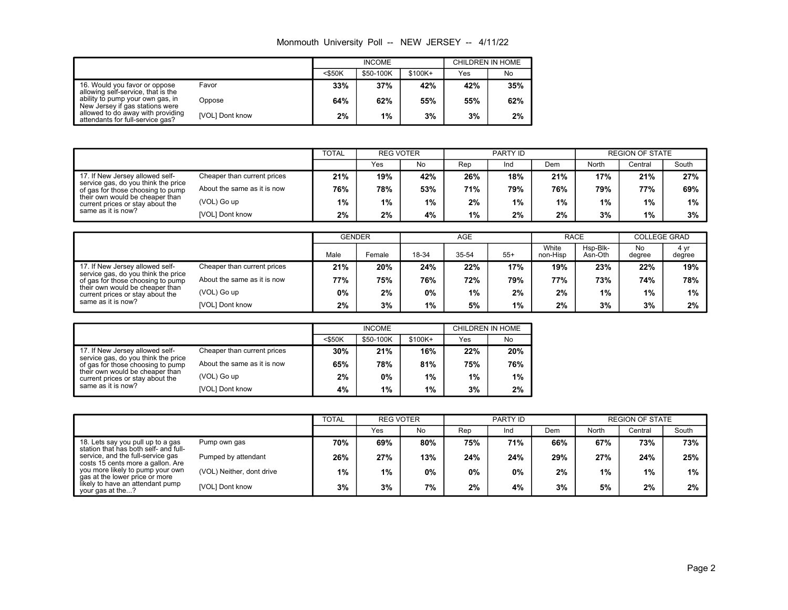Monmouth University Poll -- NEW JERSEY -- 4/11/22

|                                                                       |                 |           | <b>INCOME</b> |         | CHILDREN IN HOME |     |  |
|-----------------------------------------------------------------------|-----------------|-----------|---------------|---------|------------------|-----|--|
|                                                                       |                 | $<$ \$50K | \$50-100K     | \$100K+ | Yes              | No  |  |
| 16. Would you favor or oppose<br>allowing self-service, that is the   | Favor           | 33%       | 37%           | 42%     | 42%              | 35% |  |
| ability to pump your own gas, in<br>New Jersey if gas stations were   | Oppose          | 64%       | 62%           | 55%     | 55%              | 62% |  |
| allowed to do away with providing<br>attendants for full-service gas? | [VOL] Dont know | 2%        | $1\%$         | 3%      | 3%               | 2%  |  |

|                                                                                                                                                                                                          |                             | <b>TOTAL</b> |       | <b>REG VOTER</b> |     | PARTY ID |     |       | <b>REGION OF STATE</b> |       |  |
|----------------------------------------------------------------------------------------------------------------------------------------------------------------------------------------------------------|-----------------------------|--------------|-------|------------------|-----|----------|-----|-------|------------------------|-------|--|
|                                                                                                                                                                                                          |                             |              | Yes   | No               | Rep | Ind      | Dem | North | Central                | South |  |
| 17. If New Jersey allowed self-<br>service gas, do you think the price<br>of gas for those choosing to pump<br>their own would be cheaper than<br>current prices or stay about the<br>same as it is now? | Cheaper than current prices | 21%          | 19%   | 42%              | 26% | 18%      | 21% | 17%   | 21%                    | 27%   |  |
|                                                                                                                                                                                                          | About the same as it is now | 76%          | 78%   | 53%              | 71% | 79%      | 76% | 79%   | 77%                    | 69%   |  |
|                                                                                                                                                                                                          | (VOL) Go up                 | $1\%$        | $1\%$ | $1\%$            | 2%  | $1\%$    | 1%  | 1%    | $1\%$                  | 1%    |  |
|                                                                                                                                                                                                          | [VOL] Dont know             | 2%           | 2%    | 4%               | 1%  | 2%       | 2%  | 3%    | 1%                     | 3%    |  |

|                                                                                                                                                                                                          |                             |      | <b>GENDER</b> |       | AGE   |       |                   | <b>RACE</b>         |              | <b>COLLEGE GRAD</b> |
|----------------------------------------------------------------------------------------------------------------------------------------------------------------------------------------------------------|-----------------------------|------|---------------|-------|-------|-------|-------------------|---------------------|--------------|---------------------|
|                                                                                                                                                                                                          |                             | Male | Female        | 18-34 | 35-54 | $55+$ | White<br>non-Hisp | Hsp-Blk-<br>Asn-Oth | No<br>degree | 4 yr<br>degree      |
| 17. If New Jersey allowed self-<br>service gas, do you think the price<br>of gas for those choosing to pump<br>their own would be cheaper than<br>current prices or stay about the<br>same as it is now? | Cheaper than current prices | 21%  | 20%           | 24%   | 22%   | 17%   | 19%               | 23%                 | 22%          | 19%                 |
|                                                                                                                                                                                                          | About the same as it is now | 77%  | 75%           | 76%   | 72%   | 79%   | 77%               | 73%                 | 74%          | 78%                 |
|                                                                                                                                                                                                          | (VOL) Go up                 | 0%   | 2%            | 0%    | $1\%$ | 2%    | 2%                | 1%                  | 1%           | 1%                  |
|                                                                                                                                                                                                          | [VOL] Dont know             | 2%   | 3%            | 1%    | 5%    | 1%    | 2%                | 3%                  | 3%           | 2%                  |

|                                                                                                                                                                           |                 |           | <b>INCOME</b> |         | CHILDREN IN HOME |     |  |  |
|---------------------------------------------------------------------------------------------------------------------------------------------------------------------------|-----------------|-----------|---------------|---------|------------------|-----|--|--|
|                                                                                                                                                                           |                 | $<$ \$50K | \$50-100K     | \$100K+ | Yes              | No  |  |  |
| 17. If New Jersey allowed self-<br>Cheaper than current prices<br>service gas, do you think the price<br>About the same as it is now<br>of gas for those choosing to pump |                 | 30%       | 21%           | 16%     | 22%              | 20% |  |  |
|                                                                                                                                                                           |                 | 65%       | 78%           | 81%     | 75%              | 76% |  |  |
| their own would be cheaper than<br>current prices or stay about the                                                                                                       | (VOL) Go up     | 2%        | 0%            | 1%      | 1%               | 1%  |  |  |
| same as it is now?                                                                                                                                                        | [VOL] Dont know | 4%        | 1%            | 1%      | 3%               | 2%  |  |  |

|                                                                            |                           |       | <b>TOTAL</b><br><b>REG VOTER</b> |       |       | PARTY ID |     |       | <b>REGION OF STATE</b> |       |
|----------------------------------------------------------------------------|---------------------------|-------|----------------------------------|-------|-------|----------|-----|-------|------------------------|-------|
|                                                                            |                           |       | Yes                              | No    | Rep   | Ind      | Dem | North | Central                | South |
| 18. Lets say you pull up to a gas<br>station that has both self- and full- | Pump own gas              | 70%   | 69%                              | 80%   | 75%   | 71%      | 66% | 67%   | 73%                    | 73%   |
| service, and the full-service gas<br>costs 15 cents more a gallon. Are     | Pumped by attendant       | 26%   | 27%                              | 13%   | 24%   | 24%      | 29% | 27%   | 24%                    | 25%   |
| you more likely to pump your own<br>gas at the lower price or more         | (VOL) Neither, dont drive | $1\%$ | 1%                               | $0\%$ | $0\%$ | 0%       | 2%  | 1%    | $1\%$                  | $1\%$ |
| likely to have an attendant pump<br>your gas at the?                       | [VOL] Dont know           | 3%    | 3%                               | 7%    | $2\%$ | 4%       | 3%  | 5%    | 2%                     | 2%    |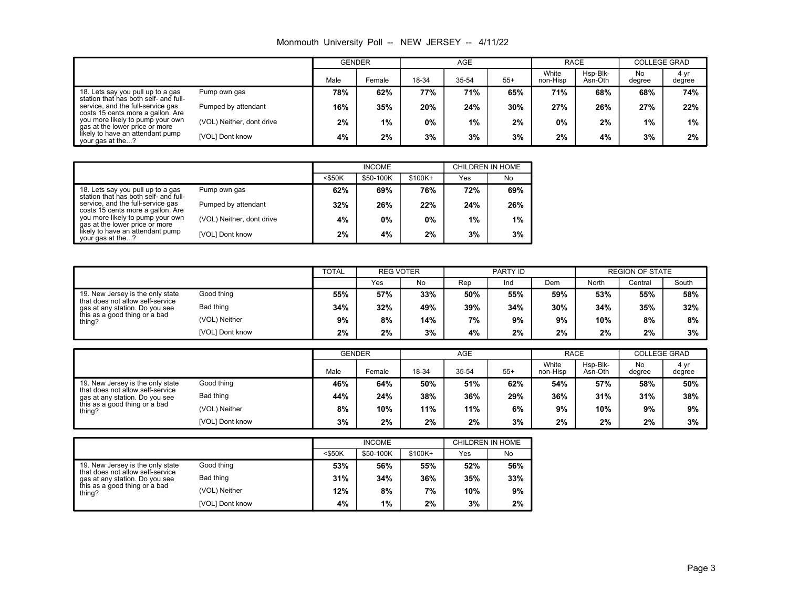| Monmouth University Poll -- NEW JERSEY -- 4/11/22 |  |  |  |  |
|---------------------------------------------------|--|--|--|--|
|---------------------------------------------------|--|--|--|--|

|                                                                            |                           |      | <b>AGE</b><br><b>GENDER</b> |       |       | <b>RACE</b> |                   | <b>COLLEGE GRAD</b> |              |                |
|----------------------------------------------------------------------------|---------------------------|------|-----------------------------|-------|-------|-------------|-------------------|---------------------|--------------|----------------|
|                                                                            |                           | Male | Female                      | 18-34 | 35-54 | $55+$       | White<br>non-Hisp | Hsp-Blk-<br>Asn-Oth | No<br>degree | 4 yr<br>degree |
| 18. Lets say you pull up to a gas<br>station that has both self- and full- | Pump own gas              | 78%  | 62%                         | 77%   | 71%   | 65%         | 71%               | 68%                 | 68%          | 74%            |
| service, and the full-service gas<br>costs 15 cents more a gallon. Are     | Pumped by attendant       | 16%  | 35%                         | 20%   | 24%   | $30\%$      | 27%               | 26%                 | 27%          | 22%            |
| you more likely to pump your own<br>gas at the lower price or more         | (VOL) Neither, dont drive | 2%   | $1\%$                       | 0%    | $1\%$ | 2%          | 0%                | 2%                  | 1%           | 1%             |
| likely to have an attendant pump<br>your gas at the?                       | [VOL] Dont know           | 4%   | 2%                          | 3%    | 3%    | 3%          | 2%                | 4%                  | 3%           | 2%             |

|                                                                            |                           |           | <b>INCOME</b> |         | CHILDREN IN HOME |     |  |
|----------------------------------------------------------------------------|---------------------------|-----------|---------------|---------|------------------|-----|--|
|                                                                            |                           | $<$ \$50K | \$50-100K     | \$100K+ | Yes              | No  |  |
| 18. Lets say you pull up to a gas<br>station that has both self- and full- | Pump own gas              | 62%       | 69%           | 76%     | 72%              | 69% |  |
| service, and the full-service gas<br>costs 15 cents more a gallon. Are     | Pumped by attendant       | 32%       | 26%           | 22%     | 24%              | 26% |  |
| you more likely to pump your own<br>gas at the lower price or more         | (VOL) Neither, dont drive | 4%        | 0%            | 0%      | 1%               | 1%  |  |
| likely to have an attendant pump<br>your gas at the?                       | [VOL] Dont know           | 2%        | 4%            | 2%      | 3%               | 3%  |  |

|                                                                                                                                                   |                 | <b>TOTAL</b><br><b>REG VOTER</b> |     | <b>PARTY ID</b> |     |     | <b>REGION OF STATE</b> |       |         |       |
|---------------------------------------------------------------------------------------------------------------------------------------------------|-----------------|----------------------------------|-----|-----------------|-----|-----|------------------------|-------|---------|-------|
|                                                                                                                                                   |                 |                                  | Yes | No              | Rep | Ind | Dem                    | North | Central | South |
| 19. New Jersey is the only state<br>that does not allow self-service<br>gas at any station. Do you see<br>this as a good thing or a bad<br>thing? | Good thing      | 55%                              | 57% | 33%             | 50% | 55% | 59%                    | 53%   | 55%     | 58%   |
|                                                                                                                                                   | Bad thing       | 34%                              | 32% | 49%             | 39% | 34% | $30\%$                 | 34%   | 35%     | 32%   |
|                                                                                                                                                   | (VOL) Neither   | 9%                               | 8%  | 14%             | 7%  | 9%  | 9%                     | 10%   | 8%      | 8%    |
|                                                                                                                                                   | [VOL] Dont know | 2%                               | 2%  | 3%              | 4%  | 2%  | $2\%$                  | 2%    | 2%      | 3%    |

|                                                                                                                                                   |                 | <b>GENDER</b> |        | AGE   |       |       | <b>RACE</b>       |                     | <b>COLLEGE GRAD</b> |                |
|---------------------------------------------------------------------------------------------------------------------------------------------------|-----------------|---------------|--------|-------|-------|-------|-------------------|---------------------|---------------------|----------------|
|                                                                                                                                                   |                 | Male          | Female | 18-34 | 35-54 | $55+$ | White<br>non-Hisp | Hsp-Blk-<br>Asn-Oth | No<br>degree        | 4 yr<br>degree |
| 19. New Jersey is the only state<br>that does not allow self-service<br>gas at any station. Do you see<br>this as a good thing or a bad<br>thing? | Good thing      | 46%           | 64%    | 50%   | 51%   | 62%   | 54%               | 57%                 | 58%                 | 50%            |
|                                                                                                                                                   | Bad thing       | 44%           | 24%    | 38%   | 36%   | 29%   | 36%               | 31%                 | 31%                 | 38%            |
|                                                                                                                                                   | (VOL) Neither   | 8%            | 10%    | 11%   | 11%   | 6%    | 9%                | 10%                 | 9%                  | 9%             |
|                                                                                                                                                   | [VOL] Dont know | 3%            | 2%     | 2%    | 2%    | 3%    | 2%                | 2%                  | 2%                  | 3%             |

|                                                                      |                 | <b>INCOME</b> |           |          | CHILDREN IN HOME |     |  |
|----------------------------------------------------------------------|-----------------|---------------|-----------|----------|------------------|-----|--|
|                                                                      |                 | $<$ \$50K     | \$50-100K | $$100K+$ | Yes              | No  |  |
| 19. New Jersey is the only state<br>that does not allow self-service | Good thing      | 53%           | 56%       | 55%      | 52%              | 56% |  |
| gas at any station. Do you see                                       | Bad thing       | 31%           | 34%       | 36%      | 35%              | 33% |  |
| this as a good thing or a bad<br>thing?                              | (VOL) Neither   | 12%           | 8%        | 7%       | 10%              | 9%  |  |
|                                                                      | [VOL] Dont know | 4%            | 1%        | 2%       | 3%               | 2%  |  |